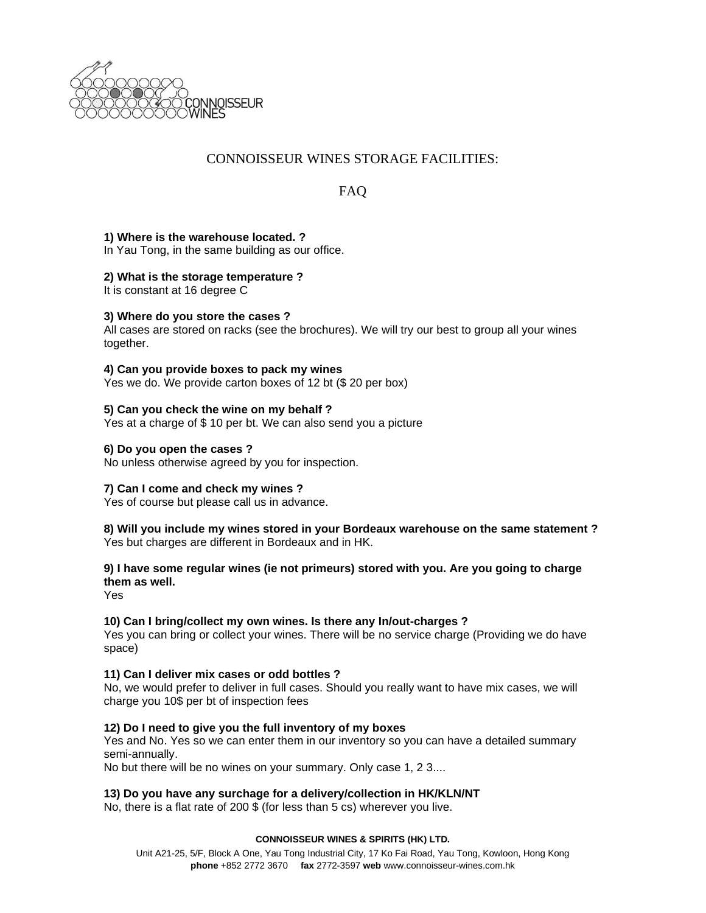

# CONNOISSEUR WINES STORAGE FACILITIES:

FAQ

## **1) Where is the warehouse located. ?**

In Yau Tong, in the same building as our office.

## **2) What is the storage temperature ?**

It is constant at 16 degree C

#### **3) Where do you store the cases ?**

All cases are stored on racks (see the brochures). We will try our best to group all your wines together.

#### **4) Can you provide boxes to pack my wines**

Yes we do. We provide carton boxes of 12 bt (\$ 20 per box)

#### **5) Can you check the wine on my behalf ?**

Yes at a charge of \$ 10 per bt. We can also send you a picture

#### **6) Do you open the cases ?**

No unless otherwise agreed by you for inspection.

## **7) Can I come and check my wines ?**

Yes of course but please call us in advance.

### **8) Will you include my wines stored in your Bordeaux warehouse on the same statement ?** Yes but charges are different in Bordeaux and in HK.

# **9) I have some regular wines (ie not primeurs) stored with you. Are you going to charge them as well.**

Yes

## **10) Can I bring/collect my own wines. Is there any In/out-charges ?**

Yes you can bring or collect your wines. There will be no service charge (Providing we do have space)

#### **11) Can I deliver mix cases or odd bottles ?**

No, we would prefer to deliver in full cases. Should you really want to have mix cases, we will charge you 10\$ per bt of inspection fees

## **12) Do I need to give you the full inventory of my boxes**

Yes and No. Yes so we can enter them in our inventory so you can have a detailed summary semi-annually.

No but there will be no wines on your summary. Only case 1, 2 3....

#### **13) Do you have any surchage for a delivery/collection in HK/KLN/NT**

No, there is a flat rate of 200 \$ (for less than 5 cs) wherever you live.

#### **CONNOISSEUR WINES & SPIRITS (HK) LTD.**

Unit A21-25, 5/F, Block A One, Yau Tong Industrial City, 17 Ko Fai Road, Yau Tong, Kowloon, Hong Kong **phone** +852 2772 3670 **fax** 2772-3597 **web** www.connoisseur-wines.com.hk